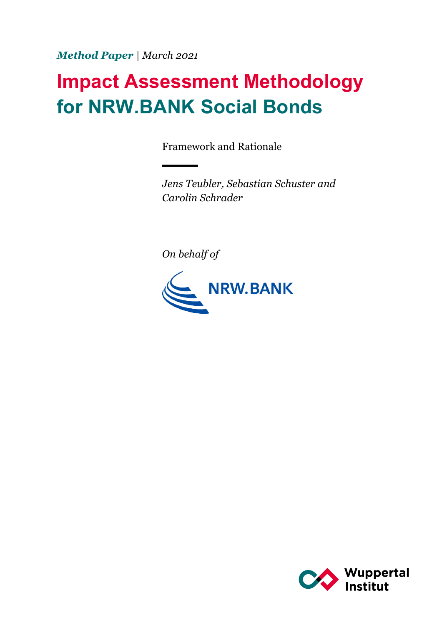*Method Paper | March 2021*

# **Impact Assessment Methodology for NRW.BANK Social Bonds**

Framework and Rationale

*Jens Teubler, Sebastian Schuster and Carolin Schrader*

*On behalf of* 



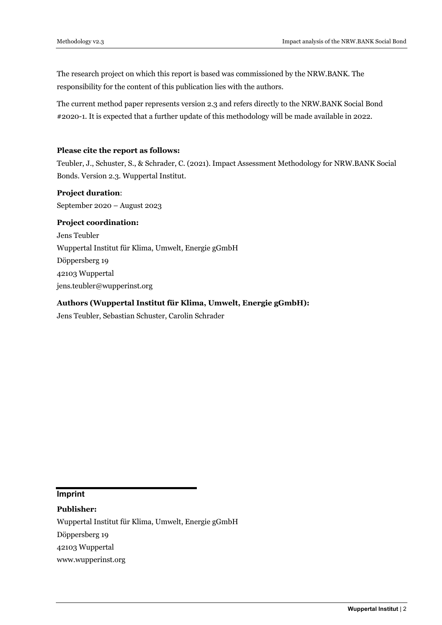The research project on which this report is based was commissioned by the NRW.BANK. The responsibility for the content of this publication lies with the authors.

The current method paper represents version 2.3 and refers directly to the NRW.BANK Social Bond #2020-1. It is expected that a further update of this methodology will be made available in 2022.

#### **Please cite the report as follows:**

Teubler, J., Schuster, S., & Schrader, C. (2021). Impact Assessment Methodology for NRW.BANK Social Bonds. Version 2.3. Wuppertal Institut.

# **Project duration**:

September 2020 – August 2023

#### **Project coordination:**

Jens Teubler Wuppertal Institut für Klima, Umwelt, Energie gGmbH Döppersberg 19 42103 Wuppertal jens.teubler@wupperinst.org

#### **Authors (Wuppertal Institut für Klima, Umwelt, Energie gGmbH):**

Jens Teubler, Sebastian Schuster, Carolin Schrader

**Imprint**

**Publisher:**

Wuppertal Institut für Klima, Umwelt, Energie gGmbH

Döppersberg 19

42103 Wuppertal

www.wupperinst.org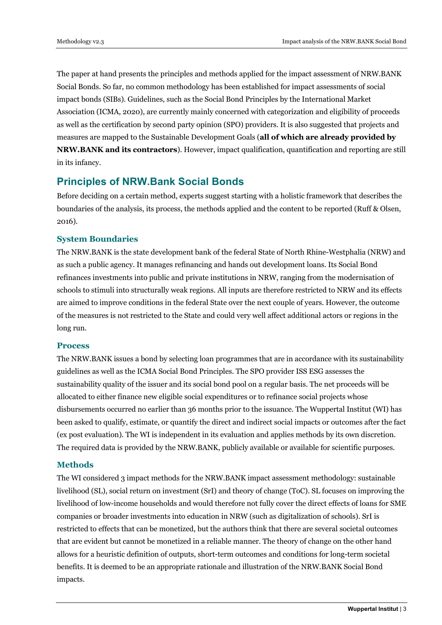The paper at hand presents the principles and methods applied for the impact assessment of NRW.BANK Social Bonds. So far, no common methodology has been established for impact assessments of social impact bonds (SIBs). Guidelines, such as the Social Bond Principles by the International Market Association (ICMA, 2020), are currently mainly concerned with categorization and eligibility of proceeds as well as the certification by second party opinion (SPO) providers. It is also suggested that projects and measures are mapped to the Sustainable Development Goals (**all of which are already provided by NRW.BANK and its contractors**). However, impact qualification, quantification and reporting are still in its infancy.

# **Principles of NRW.Bank Social Bonds**

Before deciding on a certain method, experts suggest starting with a holistic framework that describes the boundaries of the analysis, its process, the methods applied and the content to be reported (Ruff & Olsen, 2016).

## **System Boundaries**

The NRW.BANK is the state development bank of the federal State of North Rhine-Westphalia (NRW) and as such a public agency. It manages refinancing and hands out development loans. Its Social Bond refinances investments into public and private institutions in NRW, ranging from the modernisation of schools to stimuli into structurally weak regions. All inputs are therefore restricted to NRW and its effects are aimed to improve conditions in the federal State over the next couple of years. However, the outcome of the measures is not restricted to the State and could very well affect additional actors or regions in the long run.

#### **Process**

The NRW.BANK issues a bond by selecting loan programmes that are in accordance with its sustainability guidelines as well as the ICMA Social Bond Principles. The SPO provider ISS ESG assesses the sustainability quality of the issuer and its social bond pool on a regular basis. The net proceeds will be allocated to either finance new eligible social expenditures or to refinance social projects whose disbursements occurred no earlier than 36 months prior to the issuance. The Wuppertal Institut (WI) has been asked to qualify, estimate, or quantify the direct and indirect social impacts or outcomes after the fact (ex post evaluation). The WI is independent in its evaluation and applies methods by its own discretion. The required data is provided by the NRW.BANK, publicly available or available for scientific purposes.

#### **Methods**

The WI considered 3 impact methods for the NRW.BANK impact assessment methodology: sustainable livelihood (SL), social return on investment (SrI) and theory of change (ToC). SL focuses on improving the livelihood of low-income households and would therefore not fully cover the direct effects of loans for SME companies or broader investments into education in NRW (such as digitalization of schools). SrI is restricted to effects that can be monetized, but the authors think that there are several societal outcomes that are evident but cannot be monetized in a reliable manner. The theory of change on the other hand allows for a heuristic definition of outputs, short-term outcomes and conditions for long-term societal benefits. It is deemed to be an appropriate rationale and illustration of the NRW.BANK Social Bond impacts.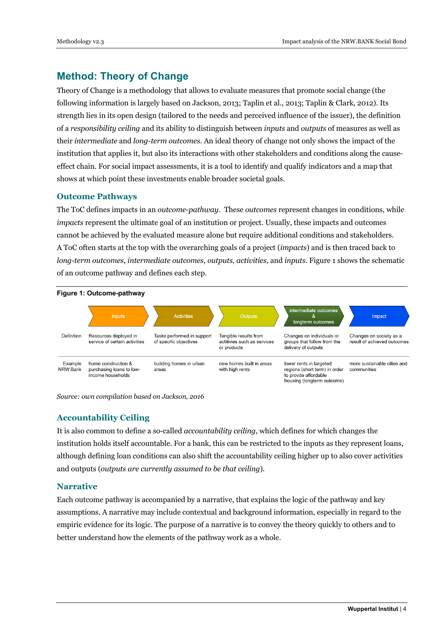# **Method: Theory of Change**

Theory of Change is a methodology that allows to evaluate measures that promote social change (the following information is largely based on Jackson, 2013; Taplin et al., 2013; Taplin & Clark, 2012). Its strength lies in its open design (tailored to the needs and perceived influence of the issuer), the definition of a *responsibility ceiling* and its ability to distinguish between *inputs* and *outputs* of measures as well as their *intermediate* and *long-term outcomes*. An ideal theory of change not only shows the impact of the institution that applies it, but also its interactions with other stakeholders and conditions along the causeeffect chain. For social impact assessments, it is a tool to identify and qualify indicators and a map that shows at which point these investments enable broader societal goals.

#### **Outcome Pathways**

The ToC defines impacts in an *outcome-pathway*. These *outcomes* represent changes in conditions, while *impacts* represent the ultimate goal of an institution or project. Usually, these impacts and outcomes cannot be achieved by the evaluated measure alone but require additional conditions and stakeholders. A ToC often starts at the top with the overarching goals of a project (*impacts*) and is then traced back to *long-term outcomes*, *intermediate outcomes*, *outputs, activities,* and *inputs*. Figure 1 shows the schematic of an outcome pathway and defines each step.



*Source: own compilation based on Jackson, 2016*

# **Accountability Ceiling**

It is also common to define a so-called *accountability ceiling*, which defines for which changes the institution holds itself accountable. For a bank, this can be restricted to the inputs as they represent loans, although defining loan conditions can also shift the accountability ceiling higher up to also cover activities and outputs (*outputs are currently assumed to be that ceiling*).

## **Narrative**

Each outcome pathway is accompanied by a narrative, that explains the logic of the pathway and key assumptions. A narrative may include contextual and background information, especially in regard to the empiric evidence for its logic. The purpose of a narrative is to convey the theory quickly to others and to better understand how the elements of the pathway work as a whole.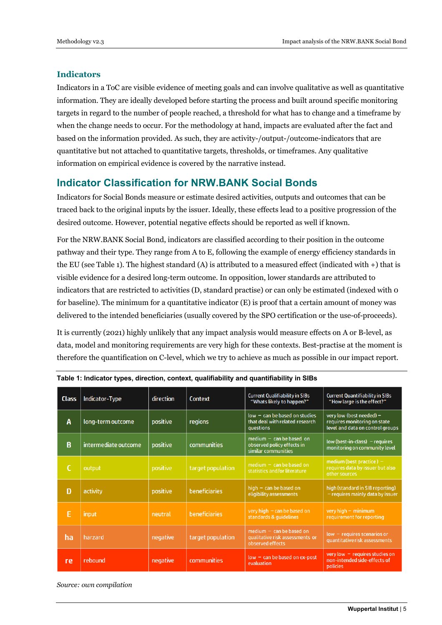#### **Indicators**

Indicators in a ToC are visible evidence of meeting goals and can involve qualitative as well as quantitative information. They are ideally developed before starting the process and built around specific monitoring targets in regard to the number of people reached, a threshold for what has to change and a timeframe by when the change needs to occur. For the methodology at hand, impacts are evaluated after the fact and based on the information provided. As such, they are activity-/output-/outcome-indicators that are quantitative but not attached to quantitative targets, thresholds, or timeframes. Any qualitative information on empirical evidence is covered by the narrative instead.

# **Indicator Classification for NRW.BANK Social Bonds**

Indicators for Social Bonds measure or estimate desired activities, outputs and outcomes that can be traced back to the original inputs by the issuer. Ideally, these effects lead to a positive progression of the desired outcome. However, potential negative effects should be reported as well if known.

For the NRW.BANK Social Bond, indicators are classified according to their position in the outcome pathway and their type. They range from A to E, following the example of energy efficiency standards in the EU (see Table 1). The highest standard (A) is attributed to a measured effect (indicated with +) that is visible evidence for a desired long-term outcome. In opposition, lower standards are attributed to indicators that are restricted to activities (D, standard practise) or can only be estimated (indexed with 0 for baseline). The minimum for a quantitative indicator (E) is proof that a certain amount of money was delivered to the intended beneficiaries (usually covered by the SPO certification or the use-of-proceeds).

It is currently (2021) highly unlikely that any impact analysis would measure effects on A or B-level, as data, model and monitoring requirements are very high for these contexts. Best-practise at the moment is therefore the quantification on C-level, which we try to achieve as much as possible in our impact report.

| <b>Class</b> | Indicator-Type       | direction | Context              | <b>Current Qualifiability in SIBs</b><br>"Whats likely to happen?"                     | <b>Current Quantifiability in SIBs</b><br>"How large is the effect?"                         |
|--------------|----------------------|-----------|----------------------|----------------------------------------------------------------------------------------|----------------------------------------------------------------------------------------------|
| A            | long-term outcome    | positive  | regions              | $low - can be based on studies$<br>that deal with related research<br><b>auestions</b> | very low (best needed) -<br>requires monitoring on state<br>level and data on control groups |
| B            | intermediate outcome | positive  | communities          | $median - can be based on$<br>observed policy effects in<br>similar communities        | $low (best-in-class)$ – requires<br>monitoring on community level                            |
| C            | output               | positive  | target population    | $median - can be based on$<br>statistics and/or literature                             | $median$ (best practice) -<br>requires data by issuer but also<br>other sources              |
| D            | activity             | positive  | <b>beneficiaries</b> | high $-$ can be based on<br>eligibility assessments                                    | high (standard in SIB reporting)<br>- requires mainly data by issuer                         |
| Ε            | input                | neutral   | <b>beneficiaries</b> | very high $-$ can be based on<br>standards & quidelines                                | very high $-$ minimum<br>requirement for reporting                                           |
| ha           | harzard              | negative  | target population    | $median - can be based on$<br>qualitative risk assessments or<br>observed effects      | $low - requires scenarios or$<br>quantitative risk assessments                               |
| re           | rebound              | negative  | communities          | $low - can be based on ex-post$<br>evaluation                                          | very low $-$ requires studies on<br>non-intended side-effects of<br><b>policies</b>          |

**Table 1: Indicator types, direction, context, qualifiability and quantifiability in SIBs**

*Source: own compilation*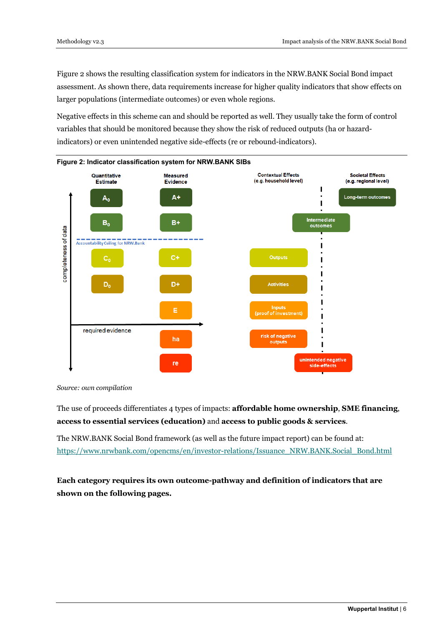Figure 2 shows the resulting classification system for indicators in the NRW.BANK Social Bond impact assessment. As shown there, data requirements increase for higher quality indicators that show effects on larger populations (intermediate outcomes) or even whole regions.

Negative effects in this scheme can and should be reported as well. They usually take the form of control variables that should be monitored because they show the risk of reduced outputs (ha or hazardindicators) or even unintended negative side-effects (re or rebound-indicators).



*Source: own compilation* 

The use of proceeds differentiates 4 types of impacts: **affordable home ownership**, **SME financing**, **access to essential services (education)** and **access to public goods & services**.

The NRW.BANK Social Bond framework (as well as the future impact report) can be found at: https://www.nrwbank.com/opencms/en/investor-relations/Issuance\_NRW.BANK.Social\_Bond.html

**Each category requires its own outcome-pathway and definition of indicators that are shown on the following pages.**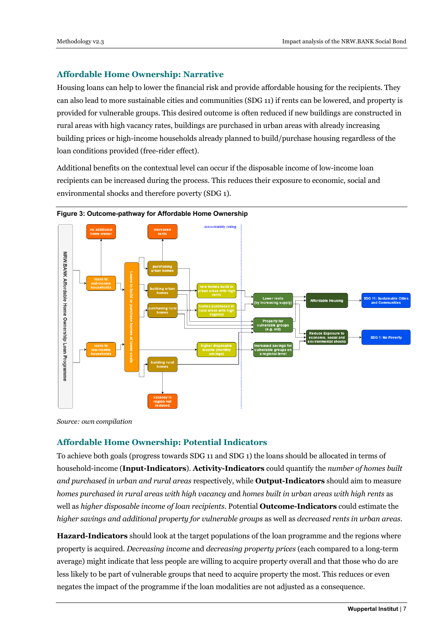## **Affordable Home Ownership: Narrative**

Housing loans can help to lower the financial risk and provide affordable housing for the recipients. They can also lead to more sustainable cities and communities (SDG 11) if rents can be lowered, and property is provided for vulnerable groups. This desired outcome is often reduced if new buildings are constructed in rural areas with high vacancy rates, buildings are purchased in urban areas with already increasing building prices or high-income households already planned to build/purchase housing regardless of the loan conditions provided (free-rider effect).

Additional benefits on the contextual level can occur if the disposable income of low-income loan recipients can be increased during the process. This reduces their exposure to economic, social and environmental shocks and therefore poverty (SDG 1).





*Source: own compilation*

# **Affordable Home Ownership: Potential Indicators**

To achieve both goals (progress towards SDG 11 and SDG 1) the loans should be allocated in terms of household-income (**Input-Indicators**). **Activity-Indicators** could quantify the *number of homes built and purchased in urban and rural areas* respectively, while **Output-Indicators** should aim to measure *homes purchased in rural areas with high vacancy a*nd *homes built in urban areas with high rents* as well as *higher disposable income of loan recipients*. Potential **Outcome-Indicators** could estimate the *higher savings and additional property for vulnerable groups* as well as *decreased rents in urban areas*.

**Hazard-Indicators** should look at the target populations of the loan programme and the regions where property is acquired. *Decreasing income* and *decreasing property prices* (each compared to a long-term average) might indicate that less people are willing to acquire property overall and that those who do are less likely to be part of vulnerable groups that need to acquire property the most. This reduces or even negates the impact of the programme if the loan modalities are not adjusted as a consequence.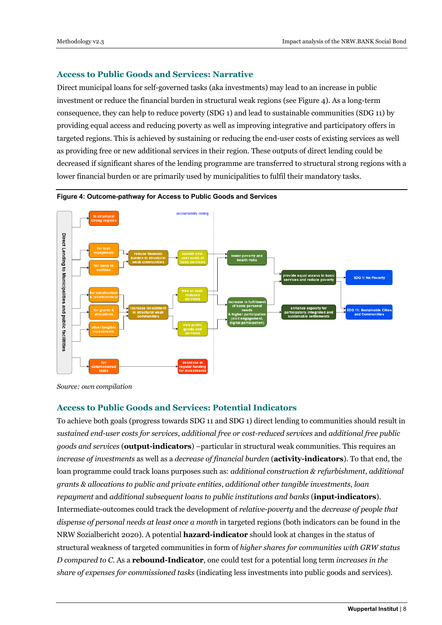## **Access to Public Goods and Services: Narrative**

Direct municipal loans for self-governed tasks (aka investments) may lead to an increase in public investment or reduce the financial burden in structural weak regions (see Figure 4). As a long-term consequence, they can help to reduce poverty (SDG 1) and lead to sustainable communities (SDG 11) by providing equal access and reducing poverty as well as improving integrative and participatory offers in targeted regions. This is achieved by sustaining or reducing the end-user costs of existing services as well as providing free or new additional services in their region. These outputs of direct lending could be decreased if significant shares of the lending programme are transferred to structural strong regions with a lower financial burden or are primarily used by municipalities to fulfil their mandatory tasks.





*Source: own compilation*

#### **Access to Public Goods and Services: Potential Indicators**

To achieve both goals (progress towards SDG 11 and SDG 1) direct lending to communities should result in *sustained end-user costs for services*, *additional free or cost-reduced services* and *additional free public goods and services* (**output-indicators**) –particular in structural weak communities. This requires an *increase of investments* as well as a *decrease of financial burden* (**activity-indicators**). To that end, the loan programme could track loans purposes such as: *additional construction & refurbishment*, *additional grants & allocations to public and private entities*, *additional other tangible investments*, *loan repayment* and *additional subsequent loans to public institutions and banks* (**input-indicators**). Intermediate-outcomes could track the development of *relative-poverty* and the *decrease of people that dispense of personal needs at least once a month* in targeted regions (both indicators can be found in the NRW Sozialbericht 2020). A potential **hazard-indicator** should look at changes in the status of structural weakness of targeted communities in form of *higher shares for communities with GRW status D compared to C*. As a **rebound-Indicator**, one could test for a potential long term *increases in the share of expenses for commissioned tasks* (indicating less investments into public goods and services).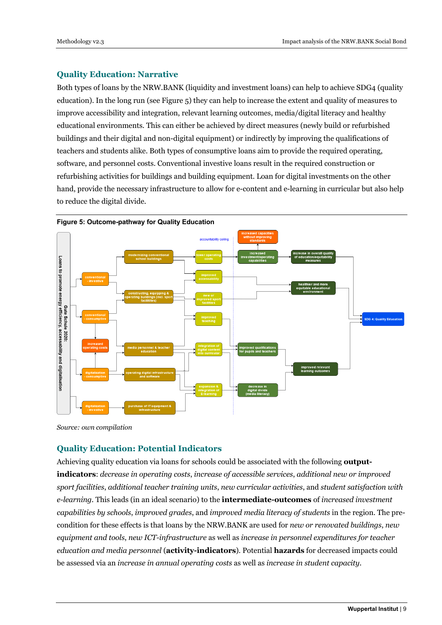## **Quality Education: Narrative**

Both types of loans by the NRW.BANK (liquidity and investment loans) can help to achieve SDG4 (quality education). In the long run (see Figure 5) they can help to increase the extent and quality of measures to improve accessibility and integration, relevant learning outcomes, media/digital literacy and healthy educational environments. This can either be achieved by direct measures (newly build or refurbished buildings and their digital and non-digital equipment) or indirectly by improving the qualifications of teachers and students alike. Both types of consumptive loans aim to provide the required operating, software, and personnel costs. Conventional investive loans result in the required construction or refurbishing activities for buildings and building equipment. Loan for digital investments on the other hand, provide the necessary infrastructure to allow for e-content and e-learning in curricular but also help to reduce the digital divide.



*Source: own compilation*

# **Quality Education: Potential Indicators**

Achieving quality education via loans for schools could be associated with the following **outputindicators**: *decrease in operating costs*, *increase of accessible services*, *additional new or improved sport facilities*, *additional teacher training units*, *new curricular activities*, and *student satisfaction with e-learning*. This leads (in an ideal scenario) to the **intermediate-outcomes** of *increased investment capabilities by schools*, *improved grades*, and *improved media literacy of students* in the region. The precondition for these effects is that loans by the NRW.BANK are used for *new or renovated buildings*, *new equipment and tools*, *new ICT-infrastructure* as well as *increase in personnel expenditures for teacher education and media personnel* (**activity-indicators**). Potential **hazards** for decreased impacts could be assessed via an *increase in annual operating costs* as well as *increase in student capacity*.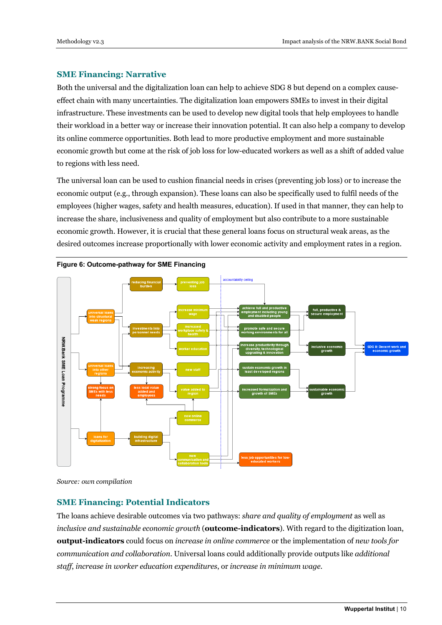### **SME Financing: Narrative**

Both the universal and the digitalization loan can help to achieve SDG 8 but depend on a complex causeeffect chain with many uncertainties. The digitalization loan empowers SMEs to invest in their digital infrastructure. These investments can be used to develop new digital tools that help employees to handle their workload in a better way or increase their innovation potential. It can also help a company to develop its online commerce opportunities. Both lead to more productive employment and more sustainable economic growth but come at the risk of job loss for low-educated workers as well as a shift of added value to regions with less need.

The universal loan can be used to cushion financial needs in crises (preventing job loss) or to increase the economic output (e.g., through expansion). These loans can also be specifically used to fulfil needs of the employees (higher wages, safety and health measures, education). If used in that manner, they can help to increase the share, inclusiveness and quality of employment but also contribute to a more sustainable economic growth. However, it is crucial that these general loans focus on structural weak areas, as the desired outcomes increase proportionally with lower economic activity and employment rates in a region.



**Figure 6: Outcome-pathway for SME Financing**

*Source: own compilation*

#### **SME Financing: Potential Indicators**

The loans achieve desirable outcomes via two pathways: *share and quality of employment* as well as *inclusive and sustainable economic growth* (**outcome-indicators**). With regard to the digitization loan, **output-indicators** could focus on *increase in online commerce* or the implementation of *new tools for communication and collaboration*. Universal loans could additionally provide outputs like *additional staff*, *increase in worker education expenditures*, or *increase in minimum wage*.